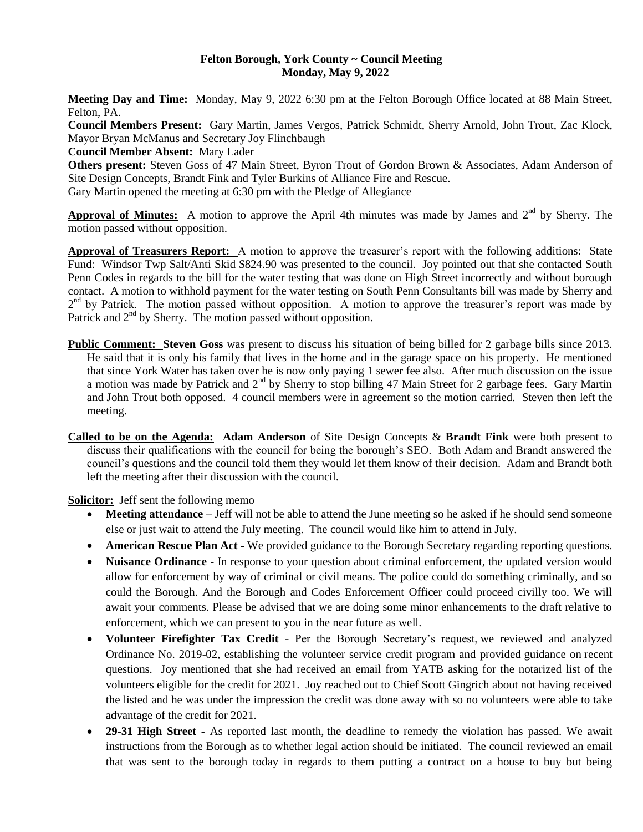#### **Felton Borough, York County ~ Council Meeting Monday, May 9, 2022**

**Meeting Day and Time:** Monday, May 9, 2022 6:30 pm at the Felton Borough Office located at 88 Main Street, Felton, PA.

**Council Members Present:** Gary Martin, James Vergos, Patrick Schmidt, Sherry Arnold, John Trout, Zac Klock, Mayor Bryan McManus and Secretary Joy Flinchbaugh

**Council Member Absent:** Mary Lader

**Others present:** Steven Goss of 47 Main Street, Byron Trout of Gordon Brown & Associates, Adam Anderson of Site Design Concepts, Brandt Fink and Tyler Burkins of Alliance Fire and Rescue. Gary Martin opened the meeting at 6:30 pm with the Pledge of Allegiance

Approval of Minutes: A motion to approve the April 4th minutes was made by James and 2<sup>nd</sup> by Sherry. The motion passed without opposition.

**Approval of Treasurers Report:** A motion to approve the treasurer's report with the following additions: State Fund: Windsor Twp Salt/Anti Skid \$824.90 was presented to the council. Joy pointed out that she contacted South Penn Codes in regards to the bill for the water testing that was done on High Street incorrectly and without borough contact. A motion to withhold payment for the water testing on South Penn Consultants bill was made by Sherry and 2<sup>nd</sup> by Patrick. The motion passed without opposition. A motion to approve the treasurer's report was made by Patrick and  $2<sup>nd</sup>$  by Sherry. The motion passed without opposition.

- **Public Comment: Steven Goss** was present to discuss his situation of being billed for 2 garbage bills since 2013. He said that it is only his family that lives in the home and in the garage space on his property. He mentioned that since York Water has taken over he is now only paying 1 sewer fee also. After much discussion on the issue a motion was made by Patrick and 2<sup>nd</sup> by Sherry to stop billing 47 Main Street for 2 garbage fees. Gary Martin and John Trout both opposed. 4 council members were in agreement so the motion carried. Steven then left the meeting.
- **Called to be on the Agenda: Adam Anderson** of Site Design Concepts & **Brandt Fink** were both present to discuss their qualifications with the council for being the borough's SEO. Both Adam and Brandt answered the council's questions and the council told them they would let them know of their decision. Adam and Brandt both left the meeting after their discussion with the council.

**Solicitor:** Jeff sent the following memo

- **Meeting attendance**  Jeff will not be able to attend the June meeting so he asked if he should send someone else or just wait to attend the July meeting. The council would like him to attend in July.
- **American Rescue Plan Act -** We provided guidance to the Borough Secretary regarding reporting questions.
- **Nuisance Ordinance -** In response to your question about criminal enforcement, the updated version would allow for enforcement by way of criminal or civil means. The police could do something criminally, and so could the Borough. And the Borough and Codes Enforcement Officer could proceed civilly too. We will await your comments. Please be advised that we are doing some minor enhancements to the draft relative to enforcement, which we can present to you in the near future as well.
- **Volunteer Firefighter Tax Credit**  Per the Borough Secretary's request, we reviewed and analyzed Ordinance No. 2019-02, establishing the volunteer service credit program and provided guidance on recent questions. Joy mentioned that she had received an email from YATB asking for the notarized list of the volunteers eligible for the credit for 2021. Joy reached out to Chief Scott Gingrich about not having received the listed and he was under the impression the credit was done away with so no volunteers were able to take advantage of the credit for 2021.
- **29-31 High Street -** As reported last month, the deadline to remedy the violation has passed. We await instructions from the Borough as to whether legal action should be initiated. The council reviewed an email that was sent to the borough today in regards to them putting a contract on a house to buy but being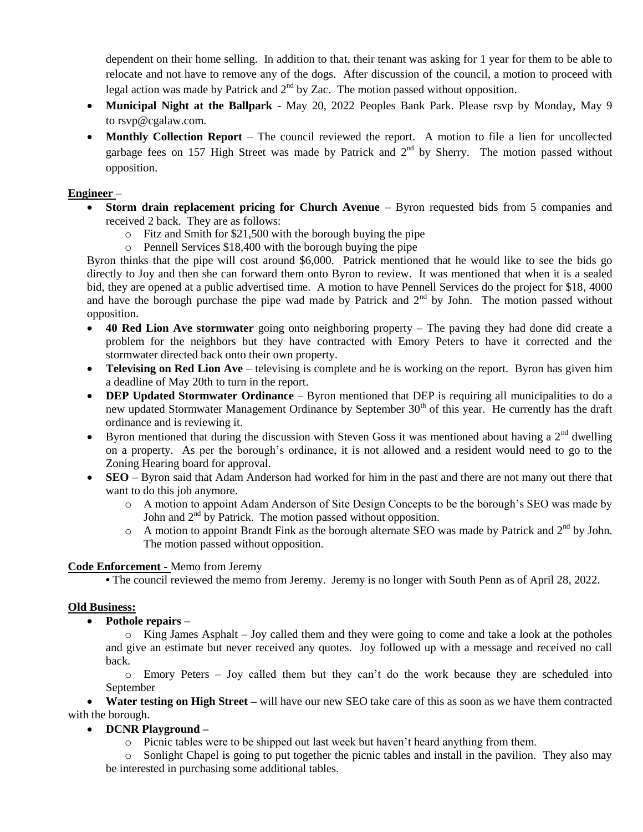dependent on their home selling. In addition to that, their tenant was asking for 1 year for them to be able to relocate and not have to remove any of the dogs. After discussion of the council, a motion to proceed with legal action was made by Patrick and  $2<sup>nd</sup>$  by Zac. The motion passed without opposition.

- **Municipal Night at the Ballpark**  May 20, 2022 Peoples Bank Park. Please rsvp by Monday, May 9 to [rsvp@cgalaw.com.](mailto:rsvp@cgalaw.com)
- Monthly Collection Report The council reviewed the report. A motion to file a lien for uncollected garbage fees on 157 High Street was made by Patrick and  $2<sup>nd</sup>$  by Sherry. The motion passed without opposition.

## **Engineer** –

- **Storm drain replacement pricing for Church Avenue** Byron requested bids from 5 companies and received 2 back. They are as follows:
	- o Fitz and Smith for \$21,500 with the borough buying the pipe
	- o Pennell Services \$18,400 with the borough buying the pipe

Byron thinks that the pipe will cost around \$6,000. Patrick mentioned that he would like to see the bids go directly to Joy and then she can forward them onto Byron to review. It was mentioned that when it is a sealed bid, they are opened at a public advertised time. A motion to have Pennell Services do the project for \$18, 4000 and have the borough purchase the pipe wad made by Patrick and  $2<sup>nd</sup>$  by John. The motion passed without opposition.

- **40 Red Lion Ave stormwater** going onto neighboring property The paving they had done did create a problem for the neighbors but they have contracted with Emory Peters to have it corrected and the stormwater directed back onto their own property.
- **Televising on Red Lion Ave** televising is complete and he is working on the report. Byron has given him a deadline of May 20th to turn in the report.
- **DEP Updated Stormwater Ordinance** Byron mentioned that DEP is requiring all municipalities to do a new updated Stormwater Management Ordinance by September 30<sup>th</sup> of this year. He currently has the draft ordinance and is reviewing it.
- Byron mentioned that during the discussion with Steven Goss it was mentioned about having a  $2<sup>nd</sup>$  dwelling on a property. As per the borough's ordinance, it is not allowed and a resident would need to go to the Zoning Hearing board for approval.
- **SEO** Byron said that Adam Anderson had worked for him in the past and there are not many out there that want to do this job anymore.
	- o A motion to appoint Adam Anderson of Site Design Concepts to be the borough's SEO was made by John and  $2<sup>nd</sup>$  by Patrick. The motion passed without opposition.
	- $\circ$  A motion to appoint Brandt Fink as the borough alternate SEO was made by Patrick and  $2^{nd}$  by John. The motion passed without opposition.

### **Code Enforcement -** Memo from Jeremy

**•** The council reviewed the memo from Jeremy. Jeremy is no longer with South Penn as of April 28, 2022.

### **Old Business:**

**Pothole repairs –**

 $\circ$  King James Asphalt – Joy called them and they were going to come and take a look at the potholes and give an estimate but never received any quotes. Joy followed up with a message and received no call back.

o Emory Peters – Joy called them but they can't do the work because they are scheduled into September

 **Water testing on High Street –** will have our new SEO take care of this as soon as we have them contracted with the borough.

# **DCNR Playground –**

o Picnic tables were to be shipped out last week but haven't heard anything from them.

o Sonlight Chapel is going to put together the picnic tables and install in the pavilion. They also may be interested in purchasing some additional tables.